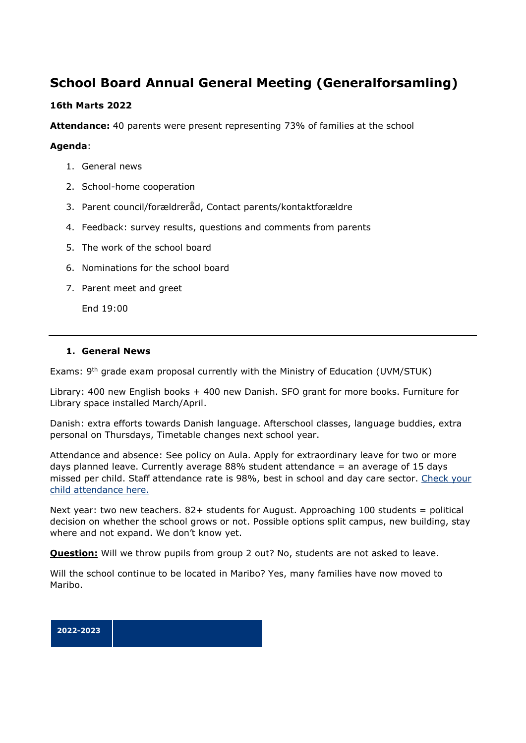# **School Board Annual General Meeting (Generalforsamling)**

### **16th Marts 2022**

**Attendance:** 40 parents were present representing 73% of families at the school

#### **Agenda**:

- 1. General news
- 2. School-home cooperation
- 3. Parent council/forældreråd, Contact parents/kontaktforældre
- 4. Feedback: survey results, questions and comments from parents
- 5. The work of the school board
- 6. Nominations for the school board
- 7. Parent meet and greet

End 19:00

#### **1. General News**

Exams: 9<sup>th</sup> grade exam proposal currently with the Ministry of Education (UVM/STUK)

Library: 400 new English books + 400 new Danish. SFO grant for more books. Furniture for Library space installed March/April.

Danish: extra efforts towards Danish language. Afterschool classes, language buddies, extra personal on Thursdays, Timetable changes next school year.

Attendance and absence: See policy on Aula. Apply for extraordinary leave for two or more days planned leave. Currently average 88% student attendance = an average of 15 days missed per child. Staff attendance rate is 98%, best in school and day care sector. [Check your](https://dreambroker.com/studio#/edit/26err377)  [child attendance here.](https://dreambroker.com/studio#/edit/26err377)

Next year: two new teachers.  $82+$  students for August. Approaching 100 students = political decision on whether the school grows or not. Possible options split campus, new building, stay where and not expand. We don't know yet.

**Question:** Will we throw pupils from group 2 out? No, students are not asked to leave.

Will the school continue to be located in Maribo? Yes, many families have now moved to Maribo.

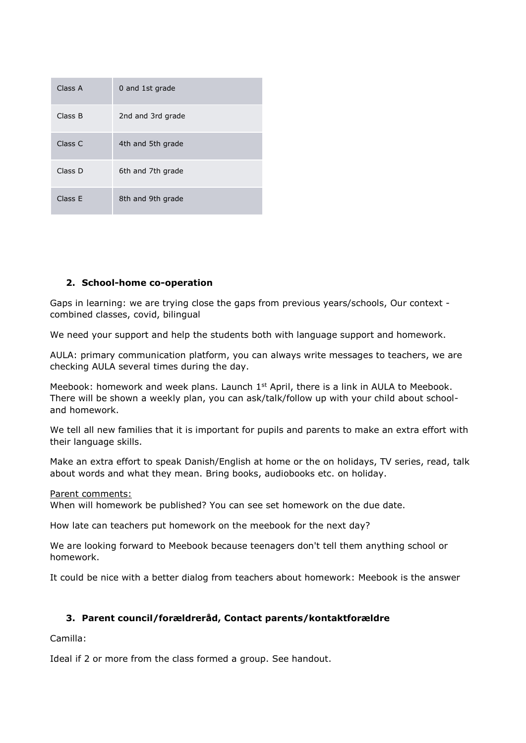| Class A | 0 and 1st grade   |
|---------|-------------------|
| Class B | 2nd and 3rd grade |
| Class C | 4th and 5th grade |
| Class D | 6th and 7th grade |
| Class E | 8th and 9th grade |

### **2. School-home co-operation**

Gaps in learning: we are trying close the gaps from previous years/schools, Our context combined classes, covid, bilingual

We need your support and help the students both with language support and homework.

AULA: primary communication platform, you can always write messages to teachers, we are checking AULA several times during the day.

Meebook: homework and week plans. Launch  $1<sup>st</sup>$  April, there is a link in AULA to Meebook. There will be shown a weekly plan, you can ask/talk/follow up with your child about schooland homework.

We tell all new families that it is important for pupils and parents to make an extra effort with their language skills.

Make an extra effort to speak Danish/English at home or the on holidays, TV series, read, talk about words and what they mean. Bring books, audiobooks etc. on holiday.

#### Parent comments:

When will homework be published? You can see set homework on the due date.

How late can teachers put homework on the meebook for the next day?

We are looking forward to Meebook because teenagers don't tell them anything school or homework.

It could be nice with a better dialog from teachers about homework: Meebook is the answer

## **3. Parent council/forældreråd, Contact parents/kontaktforældre**

Camilla:

Ideal if 2 or more from the class formed a group. See handout.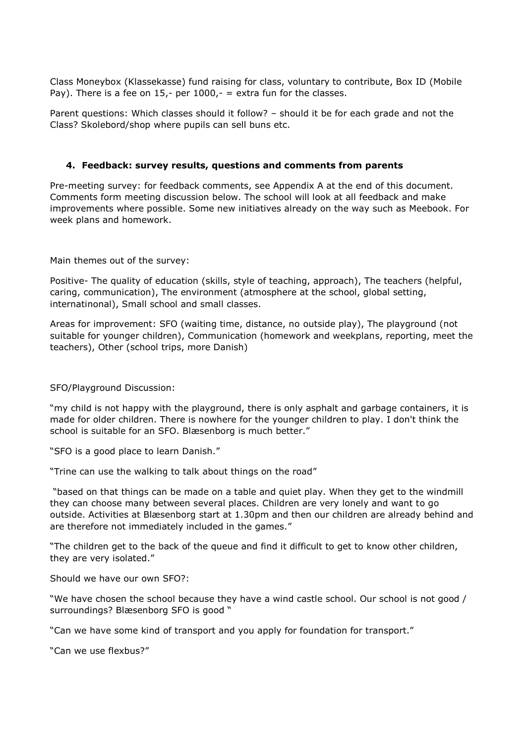Class Moneybox (Klassekasse) fund raising for class, voluntary to contribute, Box ID (Mobile Pay). There is a fee on  $15$ ,- per  $1000$ ,- = extra fun for the classes.

Parent questions: Which classes should it follow? – should it be for each grade and not the Class? Skolebord/shop where pupils can sell buns etc.

#### **4. Feedback: survey results, questions and comments from parents**

Pre-meeting survey: for feedback comments, see Appendix A at the end of this document. Comments form meeting discussion below. The school will look at all feedback and make improvements where possible. Some new initiatives already on the way such as Meebook. For week plans and homework.

Main themes out of the survey:

Positive- The quality of education (skills, style of teaching, approach), The teachers (helpful, caring, communication), The environment (atmosphere at the school, global setting, internatinonal), Small school and small classes.

Areas for improvement: SFO (waiting time, distance, no outside play), The playground (not suitable for younger children), Communication (homework and weekplans, reporting, meet the teachers), Other (school trips, more Danish)

SFO/Playground Discussion:

"my child is not happy with the playground, there is only asphalt and garbage containers, it is made for older children. There is nowhere for the younger children to play. I don't think the school is suitable for an SFO. Blæsenborg is much better."

"SFO is a good place to learn Danish."

"Trine can use the walking to talk about things on the road"

"based on that things can be made on a table and quiet play. When they get to the windmill they can choose many between several places. Children are very lonely and want to go outside. Activities at Blæsenborg start at 1.30pm and then our children are already behind and are therefore not immediately included in the games."

"The children get to the back of the queue and find it difficult to get to know other children, they are very isolated."

Should we have our own SFO?:

"We have chosen the school because they have a wind castle school. Our school is not good / surroundings? Blæsenborg SFO is good "

"Can we have some kind of transport and you apply for foundation for transport."

"Can we use flexbus?"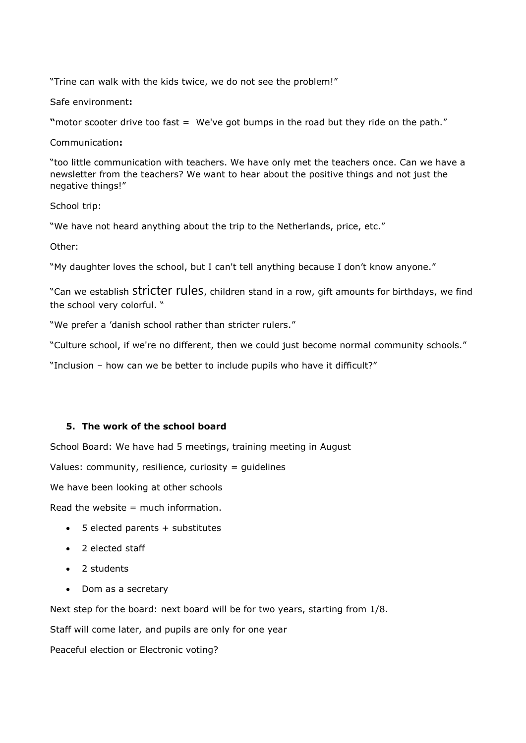"Trine can walk with the kids twice, we do not see the problem!"

Safe environment**:** 

**"**motor scooter drive too fast = We've got bumps in the road but they ride on the path."

Communication**:**

"too little communication with teachers. We have only met the teachers once. Can we have a newsletter from the teachers? We want to hear about the positive things and not just the negative things!"

School trip:

"We have not heard anything about the trip to the Netherlands, price, etc."

Other:

"My daughter loves the school, but I can't tell anything because I don't know anyone."

"Can we establish stricter rules, children stand in a row, gift amounts for birthdays, we find the school very colorful. "

"We prefer a 'danish school rather than stricter rulers."

"Culture school, if we're no different, then we could just become normal community schools."

"Inclusion – how can we be better to include pupils who have it difficult?"

### **5. The work of the school board**

School Board: We have had 5 meetings, training meeting in August

Values: community, resilience, curiosity = guidelines

We have been looking at other schools

Read the website  $=$  much information.

- $\bullet$  5 elected parents + substitutes
- 2 elected staff
- 2 students
- Dom as a secretary

Next step for the board: next board will be for two years, starting from 1/8.

Staff will come later, and pupils are only for one year

Peaceful election or Electronic voting?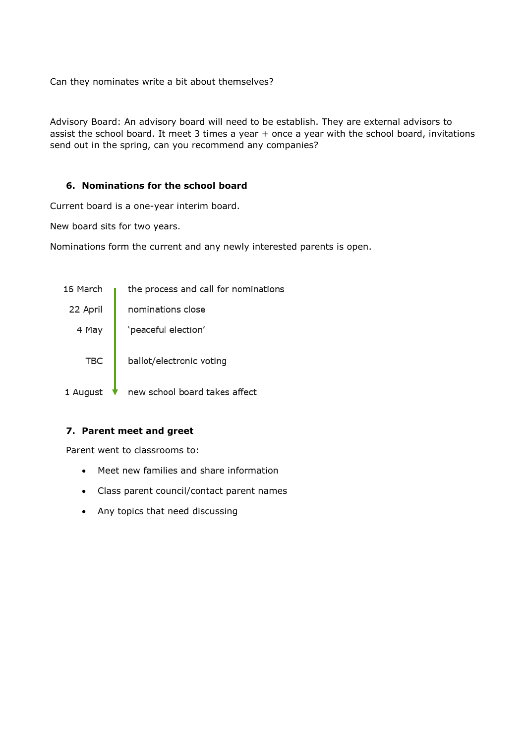Can they nominates write a bit about themselves?

Advisory Board: An advisory board will need to be establish. They are external advisors to assist the school board. It meet 3 times a year + once a year with the school board, invitations send out in the spring, can you recommend any companies?

#### **6. Nominations for the school board**

Current board is a one-year interim board.

New board sits for two years.

Nominations form the current and any newly interested parents is open.

| 16 March | the process and call for nominations |
|----------|--------------------------------------|
| 22 April | nominations close                    |
| 4 May    | 'peaceful election'                  |
| TBC      | ballot/electronic voting             |
| 1 August | new school board takes affect        |

#### **7. Parent meet and greet**

Parent went to classrooms to:

- Meet new families and share information
- Class parent council/contact parent names
- Any topics that need discussing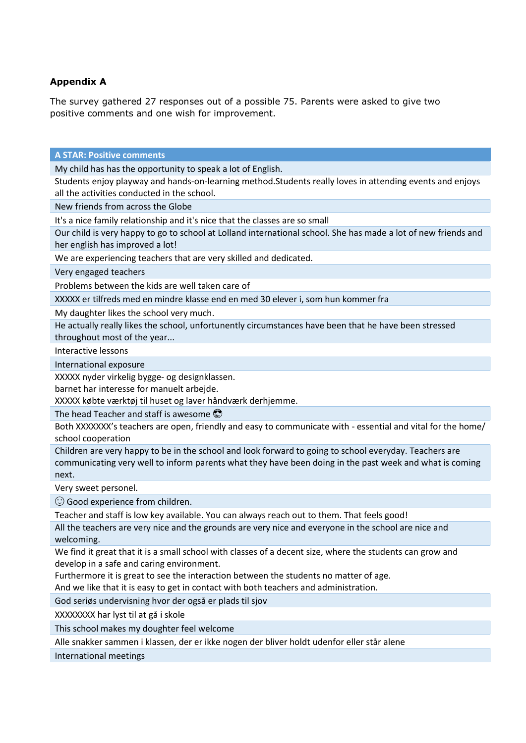### **Appendix A**

The survey gathered 27 responses out of a possible 75. Parents were asked to give two positive comments and one wish for improvement.

**A STAR: Positive comments**

My child has has the opportunity to speak a lot of English.

Students enjoy playway and hands-on-learning method.Students really loves in attending events and enjoys all the activities conducted in the school.

New friends from across the Globe

It's a nice family relationship and it's nice that the classes are so small

Our child is very happy to go to school at Lolland international school. She has made a lot of new friends and her english has improved a lot!

We are experiencing teachers that are very skilled and dedicated.

Very engaged teachers

Problems between the kids are well taken care of

XXXXX er tilfreds med en mindre klasse end en med 30 elever i, som hun kommer fra

My daughter likes the school very much.

He actually really likes the school, unfortunently circumstances have been that he have been stressed throughout most of the year...

Interactive lessons

International exposure

XXXXX nyder virkelig bygge- og designklassen.

barnet har interesse for manuelt arbejde.

XXXXX købte værktøj til huset og laver håndværk derhjemme.

The head Teacher and staff is awesome  $\bigcirc$ 

Both XXXXXXX's teachers are open, friendly and easy to communicate with - essential and vital for the home/ school cooperation

Children are very happy to be in the school and look forward to going to school everyday. Teachers are communicating very well to inform parents what they have been doing in the past week and what is coming next.

Very sweet personel.

 $\odot$  Good experience from children.

Teacher and staff is low key available. You can always reach out to them. That feels good!

All the teachers are very nice and the grounds are very nice and everyone in the school are nice and welcoming.

We find it great that it is a small school with classes of a decent size, where the students can grow and develop in a safe and caring environment.

Furthermore it is great to see the interaction between the students no matter of age.

And we like that it is easy to get in contact with both teachers and administration.

God seriøs undervisning hvor der også er plads til sjov

XXXXXXXX har lyst til at gå i skole

This school makes my doughter feel welcome

Alle snakker sammen i klassen, der er ikke nogen der bliver holdt udenfor eller står alene

International meetings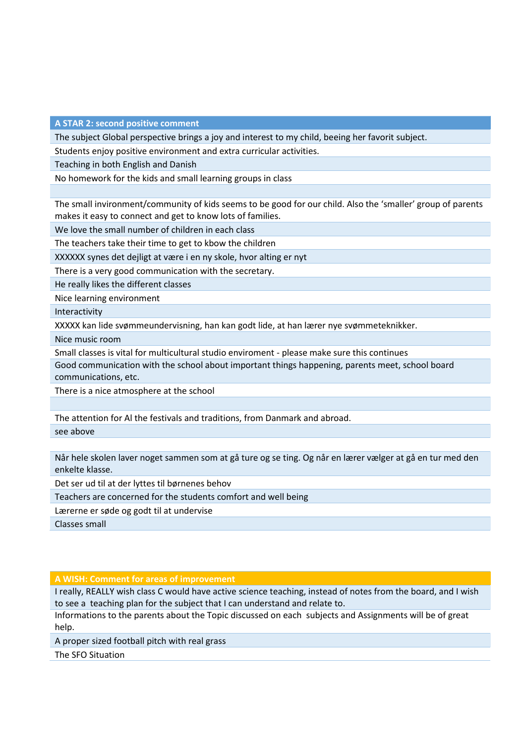**A STAR 2: second positive comment**

The subject Global perspective brings a joy and interest to my child, beeing her favorit subject.

Students enjoy positive environment and extra curricular activities.

Teaching in both English and Danish

No homework for the kids and small learning groups in class

The small invironment/community of kids seems to be good for our child. Also the 'smaller' group of parents makes it easy to connect and get to know lots of families.

We love the small number of children in each class

The teachers take their time to get to kbow the children

XXXXXX synes det dejligt at være i en ny skole, hvor alting er nyt

There is a very good communication with the secretary.

He really likes the different classes

Nice learning environment

Interactivity

XXXXX kan lide svømmeundervisning, han kan godt lide, at han lærer nye svømmeteknikker.

Nice music room

Small classes is vital for multicultural studio enviroment - please make sure this continues

Good communication with the school about important things happening, parents meet, school board communications, etc.

There is a nice atmosphere at the school

The attention for Al the festivals and traditions, from Danmark and abroad. see above

Når hele skolen laver noget sammen som at gå ture og se ting. Og når en lærer vælger at gå en tur med den enkelte klasse.

Det ser ud til at der lyttes til børnenes behov

Teachers are concerned for the students comfort and well being

Lærerne er søde og godt til at undervise

Classes small

#### **A WISH: Comment for areas of improvement**

I really, REALLY wish class C would have active science teaching, instead of notes from the board, and I wish to see a teaching plan for the subject that I can understand and relate to.

Informations to the parents about the Topic discussed on each subjects and Assignments will be of great help.

A proper sized football pitch with real grass

The SFO Situation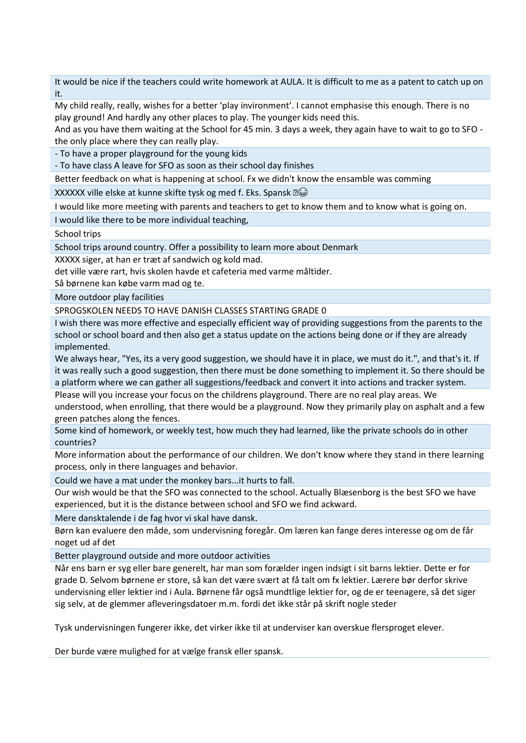It would be nice if the teachers could write homework at AULA. It is difficult to me as a patent to catch up on it.

My child really, really, wishes for a better 'play invironment'. I cannot emphasise this enough. There is no play ground! And hardly any other places to play. The younger kids need this.

And as you have them waiting at the School for 45 min. 3 days a week, they again have to wait to go to SFO the only place where they can really play.

- To have a proper playground for the young kids

- To have class A leave for SFO as soon as their school day finishes

Better feedback on what is happening at school. Fx we didn't know the ensamble was comming

XXXXXX ville elske at kunne skifte tysk og med f. Eks. Spansk  $\mathbb{R}$ 

I would like more meeting with parents and teachers to get to know them and to know what is going on.

I would like there to be more individual teaching,

School trips

School trips around country. Offer a possibility to learn more about Denmark

XXXXX siger, at han er træt af sandwich og kold mad.

det ville være rart, hvis skolen havde et cafeteria med varme måltider.

Så børnene kan købe varm mad og te.

More outdoor play facilities

SPROGSKOLEN NEEDS TO HAVE DANISH CLASSES STARTING GRADE 0

I wish there was more effective and especially efficient way of providing suggestions from the parents to the school or school board and then also get a status update on the actions being done or if they are already implemented.

We always hear, "Yes, its a very good suggestion, we should have it in place, we must do it.", and that's it. If it was really such a good suggestion, then there must be done something to implement it. So there should be a platform where we can gather all suggestions/feedback and convert it into actions and tracker system.

Please will you increase your focus on the childrens playground. There are no real play areas. We understood, when enrolling, that there would be a playground. Now they primarily play on asphalt and a few green patches along the fences.

Some kind of homework, or weekly test, how much they had learned, like the private schools do in other countries?

More information about the performance of our children. We don't know where they stand in there learning process, only in there languages and behavior.

Could we have a mat under the monkey bars...it hurts to fall.

Our wish would be that the SFO was connected to the school. Actually Blæsenborg is the best SFO we have experienced, but it is the distance between school and SFO we find ackward.

Mere dansktalende i de fag hvor vi skal have dansk.

Børn kan evaluere den måde, som undervisning foregår. Om læren kan fange deres interesse og om de får noget ud af det

Better playground outside and more outdoor activities

Når ens barn er syg eller bare generelt, har man som forælder ingen indsigt i sit barns lektier. Dette er for grade D. Selvom børnene er store, så kan det være svært at få talt om fx lektier. Lærere bør derfor skrive undervisning eller lektier ind i Aula. Børnene får også mundtlige lektier for, og de er teenagere, så det siger sig selv, at de glemmer afleveringsdatoer m.m. fordi det ikke står på skrift nogle steder

Tysk undervisningen fungerer ikke, det virker ikke til at underviser kan overskue flersproget elever.

Der burde være mulighed for at vælge fransk eller spansk.